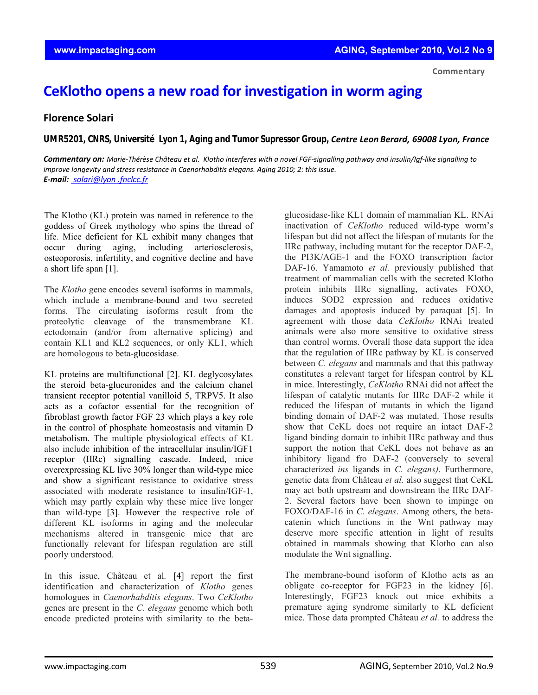**Commentary**

## **CeKlotho opens a new road for investigation in worm aging**

## **Florence Solari**

*UMR5201, CNRS, Université Lyon 1, Aging and Tumor Supressor Group, Centre Leon Berard, 69008 Lyon, France* 

Commentary on: Marie-Thérèse Château et al. Klotho interferes with a novel FGF-signalling pathway and insulin/Igf-like signalling to *improve longevity and stress resistance in Caenorhabditis elegans. Aging 2010; 2: this issue. E‐mail: solari@lyon .fnclcc.fr*

The Klotho (KL) protein was named in reference to the goddess of Greek mythology who spins the thread of life. Mice deficient for KL exhibit many changes that occur during aging, including arteriosclerosis, osteoporosis, infertility, and cognitive decline and have a short life span [1].

The *Klotho* gene encodes several isoforms in mammals, which include a membrane-bound and two secreted forms. The circulating isoforms result from the proteolytic cleavage of the transmembrane KL ectodomain (and/or from alternative splicing) and contain KL1 and KL2 sequences, or only KL1, which are homologous to beta-glucosidase.

KL proteins are multifunctional [2]. KL deglycosylates the steroid beta-glucuronides and the calcium chanel transient receptor potential vanilloid 5, TRPV5. It also acts as a cofactor essential for the recognition of fibroblast growth factor FGF 23 which plays a key role in the control of phosphate homeostasis and vitamin D metabolism. The multiple physiological effects of KL also include inhibition of the intracellular insulin/IGF1 receptor (IIRc) signalling cascade. Indeed, mice overexpressing KL live 30% longer than wild-type mice and show a significant resistance to oxidative stress associated with moderate resistance to insulin/IGF-1, which may partly explain why these mice live longer than wild-type [3]. However the respective role of different KL isoforms in aging and the molecular mechanisms altered in transgenic mice that are functionally relevant for lifespan regulation are still poorly understood.

In this issue, Château et al*.* [4] report the first identification and characterization of *Klotho* genes homologues in *Caenorhabditis elegans*. Two *CeKlotho* genes are present in the *C. elegans* genome which both encode predicted proteins with similarity to the beta-

glucosidase-like KL1 domain of mammalian KL. RNAi inactivation of *CeKlotho* reduced wild-type worm's lifespan but did not affect the lifespan of mutants for the IIRc pathway, including mutant for the receptor DAF-2, the PI3K/AGE-1 and the FOXO transcription factor DAF-16. Yamamoto *et al.* previously published that treatment of mammalian cells with the secreted Klotho protein inhibits IIRc signalling, activates FOXO, induces SOD2 expression and reduces oxidative damages and apoptosis induced by paraquat [5]. In agreement with those data *CeKlotho* RNAi treated animals were also more sensitive to oxidative stress than control worms. Overall those data support the idea that the regulation of IIRc pathway by KL is conserved between *C. elegans* and mammals and that this pathway constitutes a relevant target for lifespan control by KL in mice. Interestingly, *CeKlotho* RNAi did not affect the lifespan of catalytic mutants for IIRc DAF-2 while it reduced the lifespan of mutants in which the ligand binding domain of DAF-2 was mutated. Those results show that CeKL does not require an intact DAF-2 ligand binding domain to inhibit IIRc pathway and thus support the notion that CeKL does not behave as an inhibitory ligand fro DAF-2 (conversely to several characterized *ins* ligands in *C. elegans)*. Furthermore, genetic data from Château *et al.* also suggest that CeKL may act both upstream and downstream the IIRc DAF-2. Several factors have been shown to impinge on FOXO/DAF-16 in *C. elegans*. Among others, the betacatenin which functions in the Wnt pathway may deserve more specific attention in light of results obtained in mammals showing that Klotho can also modulate the Wnt signalling.

The membrane-bound isoform of Klotho acts as an obligate co-receptor for FGF23 in the kidney [6]. Interestingly, FGF23 knock out mice exhibits a premature aging syndrome similarly to KL deficient mice. Those data prompted Château *et al.* to address the